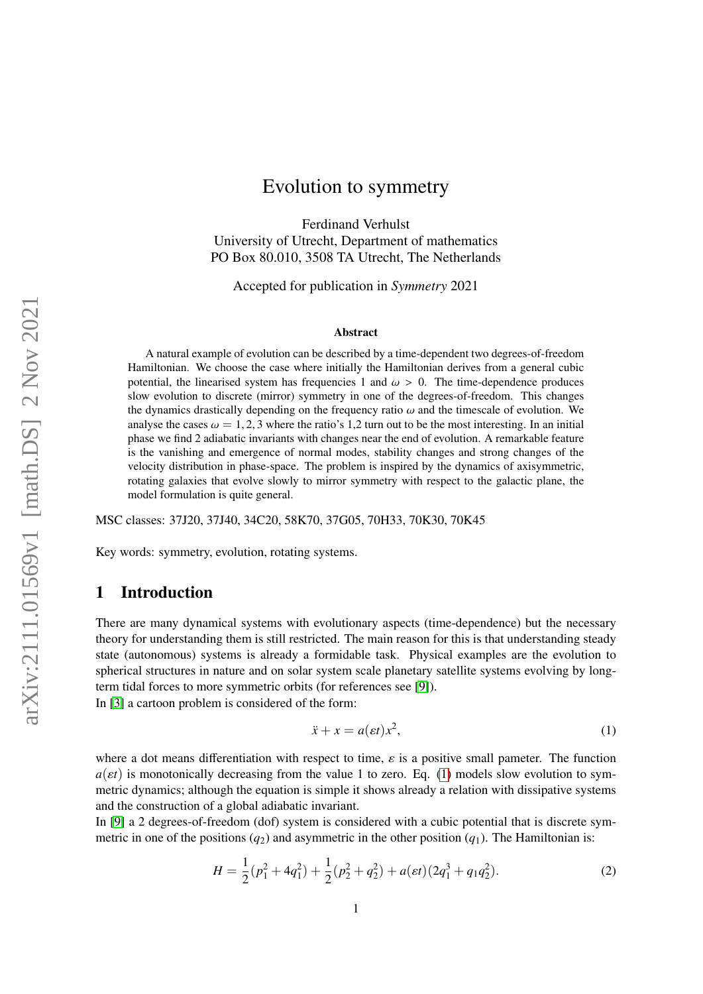# Evolution to symmetry

Ferdinand Verhulst University of Utrecht, Department of mathematics PO Box 80.010, 3508 TA Utrecht, The Netherlands

Accepted for publication in *Symmetry* 2021

#### Abstract

A natural example of evolution can be described by a time-dependent two degrees-of-freedom Hamiltonian. We choose the case where initially the Hamiltonian derives from a general cubic potential, the linearised system has frequencies 1 and  $\omega > 0$ . The time-dependence produces slow evolution to discrete (mirror) symmetry in one of the degrees-of-freedom. This changes the dynamics drastically depending on the frequency ratio  $\omega$  and the timescale of evolution. We analyse the cases  $\omega = 1, 2, 3$  where the ratio's 1,2 turn out to be the most interesting. In an initial phase we find 2 adiabatic invariants with changes near the end of evolution. A remarkable feature is the vanishing and emergence of normal modes, stability changes and strong changes of the velocity distribution in phase-space. The problem is inspired by the dynamics of axisymmetric, rotating galaxies that evolve slowly to mirror symmetry with respect to the galactic plane, the model formulation is quite general.

MSC classes: 37J20, 37J40, 34C20, 58K70, 37G05, 70H33, 70K30, 70K45

Key words: symmetry, evolution, rotating systems.

## 1 Introduction

There are many dynamical systems with evolutionary aspects (time-dependence) but the necessary theory for understanding them is still restricted. The main reason for this is that understanding steady state (autonomous) systems is already a formidable task. Physical examples are the evolution to spherical structures in nature and on solar system scale planetary satellite systems evolving by longterm tidal forces to more symmetric orbits (for references see [\[9\]](#page-11-0)).

In [\[3\]](#page-11-1) a cartoon problem is considered of the form:

<span id="page-0-0"></span>
$$
\ddot{x} + x = a(\varepsilon t)x^2,\tag{1}
$$

where a dot means differentiation with respect to time,  $\varepsilon$  is a positive small pameter. The function  $a(\varepsilon t)$  is monotonically decreasing from the value 1 to zero. Eq. [\(1\)](#page-0-0) models slow evolution to symmetric dynamics; although the equation is simple it shows already a relation with dissipative systems and the construction of a global adiabatic invariant.

In [\[9\]](#page-11-0) a 2 degrees-of-freedom (dof) system is considered with a cubic potential that is discrete symmetric in one of the positions  $(q_2)$  and asymmetric in the other position  $(q_1)$ . The Hamiltonian is:

$$
H = \frac{1}{2}(p_1^2 + 4q_1^2) + \frac{1}{2}(p_2^2 + q_2^2) + a(\varepsilon t)(2q_1^3 + q_1q_2^2).
$$
 (2)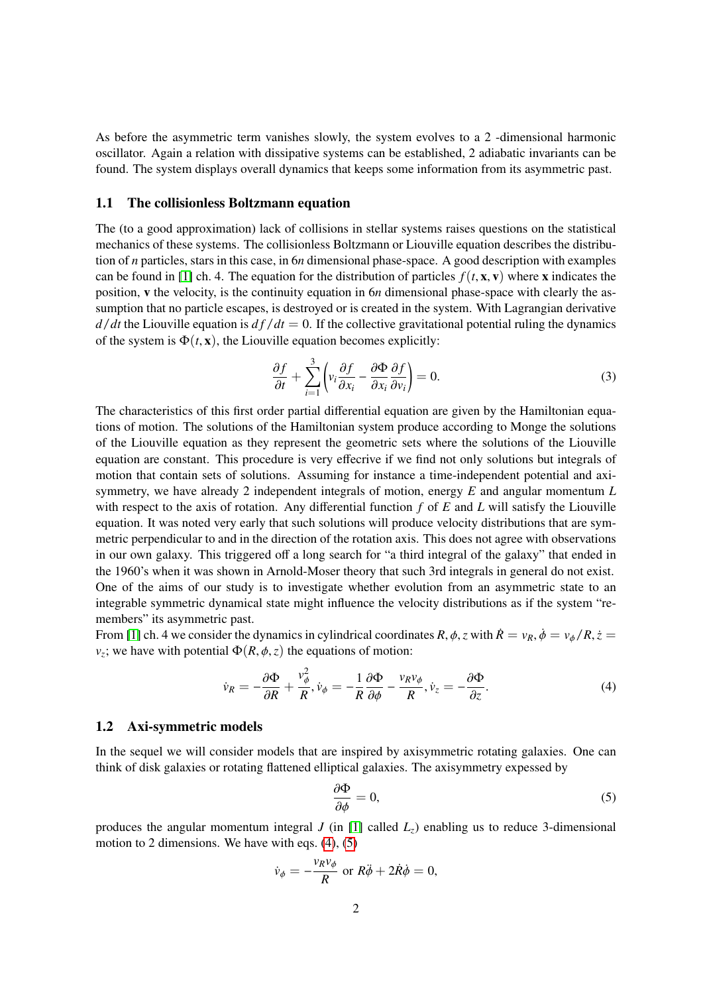As before the asymmetric term vanishes slowly, the system evolves to a 2 -dimensional harmonic oscillator. Again a relation with dissipative systems can be established, 2 adiabatic invariants can be found. The system displays overall dynamics that keeps some information from its asymmetric past.

### 1.1 The collisionless Boltzmann equation

The (to a good approximation) lack of collisions in stellar systems raises questions on the statistical mechanics of these systems. The collisionless Boltzmann or Liouville equation describes the distribution of *n* particles, stars in this case, in 6*n* dimensional phase-space. A good description with examples can be found in [\[1\]](#page-11-2) ch. 4. The equation for the distribution of particles  $f(t, \mathbf{x}, \mathbf{v})$  where **x** indicates the position, v the velocity, is the continuity equation in 6*n* dimensional phase-space with clearly the assumption that no particle escapes, is destroyed or is created in the system. With Lagrangian derivative  $d/dt$  the Liouville equation is  $df/dt = 0$ . If the collective gravitational potential ruling the dynamics of the system is  $\Phi(t, x)$ , the Liouville equation becomes explicitly:

$$
\frac{\partial f}{\partial t} + \sum_{i=1}^{3} \left( v_i \frac{\partial f}{\partial x_i} - \frac{\partial \Phi}{\partial x_i} \frac{\partial f}{\partial v_i} \right) = 0.
$$
\n(3)

The characteristics of this first order partial differential equation are given by the Hamiltonian equations of motion. The solutions of the Hamiltonian system produce according to Monge the solutions of the Liouville equation as they represent the geometric sets where the solutions of the Liouville equation are constant. This procedure is very effecrive if we find not only solutions but integrals of motion that contain sets of solutions. Assuming for instance a time-independent potential and axisymmetry, we have already 2 independent integrals of motion, energy *E* and angular momentum *L* with respect to the axis of rotation. Any differential function *f* of *E* and *L* will satisfy the Liouville equation. It was noted very early that such solutions will produce velocity distributions that are symmetric perpendicular to and in the direction of the rotation axis. This does not agree with observations in our own galaxy. This triggered off a long search for "a third integral of the galaxy" that ended in the 1960's when it was shown in Arnold-Moser theory that such 3rd integrals in general do not exist. One of the aims of our study is to investigate whether evolution from an asymmetric state to an integrable symmetric dynamical state might influence the velocity distributions as if the system "remembers" its asymmetric past.

From [\[1\]](#page-11-2) ch. 4 we consider the dynamics in cylindrical coordinates  $R$ ,  $\phi$ ,  $z$  with  $\dot{R} = v_R$ ,  $\dot{\phi} = v_\phi / R$ ,  $\dot{z} =$ *v*<sub>*z*</sub>; we have with potential  $\Phi(R, \phi, z)$  the equations of motion:

<span id="page-1-0"></span>
$$
\dot{\nu}_R = -\frac{\partial \Phi}{\partial R} + \frac{v_\phi^2}{R}, \dot{\nu}_\phi = -\frac{1}{R} \frac{\partial \Phi}{\partial \phi} - \frac{v_R v_\phi}{R}, \dot{\nu}_z = -\frac{\partial \Phi}{\partial z}.
$$
\n(4)

#### 1.2 Axi-symmetric models

In the sequel we will consider models that are inspired by axisymmetric rotating galaxies. One can think of disk galaxies or rotating flattened elliptical galaxies. The axisymmetry expessed by

<span id="page-1-1"></span>
$$
\frac{\partial \Phi}{\partial \phi} = 0,\tag{5}
$$

produces the angular momentum integral *J* (in [\[1\]](#page-11-2) called  $L_z$ ) enabling us to reduce 3-dimensional motion to 2 dimensions. We have with eqs. [\(4\)](#page-1-0), [\(5\)](#page-1-1)

$$
\dot{v}_{\phi} = -\frac{v_R v_{\phi}}{R} \text{ or } R\ddot{\phi} + 2\dot{R}\dot{\phi} = 0,
$$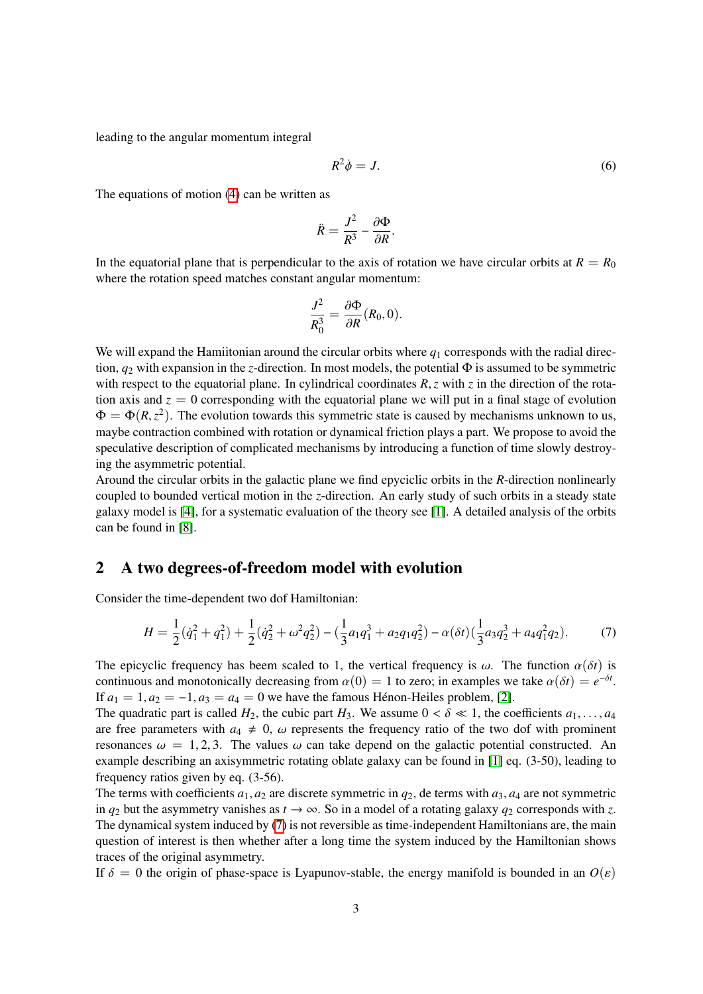leading to the angular momentum integral

$$
R^2 \dot{\phi} = J. \tag{6}
$$

The equations of motion [\(4\)](#page-1-0) can be written as

$$
\ddot{R}=\frac{J^2}{R^3}-\frac{\partial\Phi}{\partial R}.
$$

In the equatorial plane that is perpendicular to the axis of rotation we have circular orbits at  $R = R_0$ where the rotation speed matches constant angular momentum:

$$
\frac{J^2}{R_0^3} = \frac{\partial \Phi}{\partial R}(R_0, 0).
$$

We will expand the Hamiitonian around the circular orbits where  $q_1$  corresponds with the radial direction,  $q_2$  with expansion in the *z*-direction. In most models, the potential  $\Phi$  is assumed to be symmetric with respect to the equatorial plane. In cylindrical coordinates  $R$ , *z* with *z* in the direction of the rotation axis and  $z = 0$  corresponding with the equatorial plane we will put in a final stage of evolution  $\Phi = \Phi(R, z^2)$ . The evolution towards this symmetric state is caused by mechanisms unknown to us, maybe contraction combined with rotation or dynamical friction plays a part. We propose to avoid the speculative description of complicated mechanisms by introducing a function of time slowly destroying the asymmetric potential.

Around the circular orbits in the galactic plane we find epyciclic orbits in the *R*-direction nonlinearly coupled to bounded vertical motion in the *z*-direction. An early study of such orbits in a steady state galaxy model is [\[4\]](#page-11-3), for a systematic evaluation of the theory see [\[1\]](#page-11-2). A detailed analysis of the orbits can be found in [\[8\]](#page-11-4).

### 2 A two degrees-of-freedom model with evolution

Consider the time-dependent two dof Hamiltonian:

<span id="page-2-0"></span>
$$
H = \frac{1}{2}(\dot{q}_1^2 + q_1^2) + \frac{1}{2}(\dot{q}_2^2 + \omega^2 q_2^2) - (\frac{1}{3}a_1 q_1^3 + a_2 q_1 q_2^2) - \alpha(\delta t)(\frac{1}{3}a_3 q_2^3 + a_4 q_1^2 q_2).
$$
 (7)

The epicyclic frequency has beem scaled to 1, the vertical frequency is  $\omega$ . The function  $\alpha(\delta t)$  is continuous and monotonically decreasing from  $\alpha(0) = 1$  to zero; in examples we take  $\alpha(\delta t) = e^{-\delta t}$ .<br>If  $\alpha_1 = 1$ ,  $\alpha_2 = -1$ ,  $\alpha_3 = \alpha_4 = 0$ , we have the famous Hénon Heiles problem [2]. If  $a_1 = 1, a_2 = -1, a_3 = a_4 = 0$  we have the famous Hénon-Heiles problem, [\[2\]](#page-11-5).

The quadratic part is called  $H_2$ , the cubic part  $H_3$ . We assume  $0 < \delta \ll 1$ , the coefficients  $a_1, \ldots, a_4$ are free parameters with  $a_4 \neq 0$ ,  $\omega$  represents the frequency ratio of the two dof with prominent resonances  $\omega = 1, 2, 3$ . The values  $\omega$  can take depend on the galactic potential constructed. An example describing an axisymmetric rotating oblate galaxy can be found in [\[1\]](#page-11-2) eq. (3-50), leading to frequency ratios given by eq. (3-56).

The terms with coefficients  $a_1$ ,  $a_2$  are discrete symmetric in  $q_2$ , de terms with  $a_3$ ,  $a_4$  are not symmetric in  $q_2$  but the asymmetry vanishes as  $t \to \infty$ . So in a model of a rotating galaxy  $q_2$  corresponds with z. The dynamical system induced by [\(7\)](#page-2-0) is not reversible as time-independent Hamiltonians are, the main question of interest is then whether after a long time the system induced by the Hamiltonian shows traces of the original asymmetry.

If  $\delta = 0$  the origin of phase-space is Lyapunov-stable, the energy manifold is bounded in an  $O(\varepsilon)$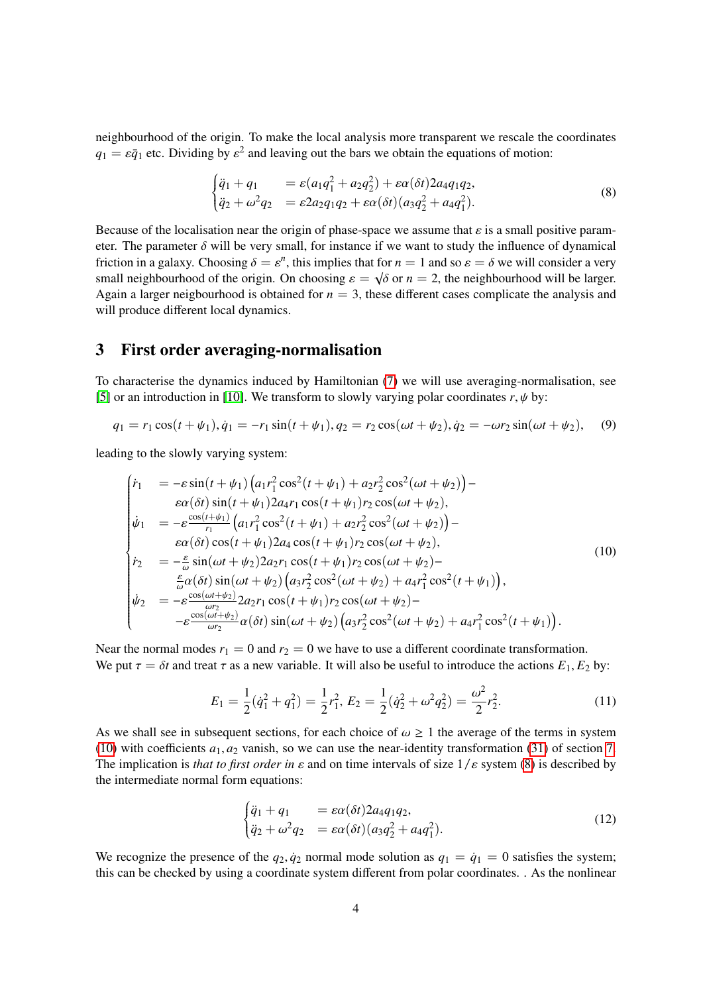neighbourhood of the origin. To make the local analysis more transparent we rescale the coordinates  $q_1 = \varepsilon \bar{q}_1$  etc. Dividing by  $\varepsilon^2$  and leaving out the bars we obtain the equations of motion:

<span id="page-3-1"></span>
$$
\begin{cases} \ddot{q}_1 + q_1 = \varepsilon (a_1 q_1^2 + a_2 q_2^2) + \varepsilon \alpha (\delta t) 2 a_4 q_1 q_2, \\ \ddot{q}_2 + \omega^2 q_2 = \varepsilon 2 a_2 q_1 q_2 + \varepsilon \alpha (\delta t) (a_3 q_2^2 + a_4 q_1^2). \end{cases} \tag{8}
$$

Because of the localisation near the origin of phase-space we assume that  $\varepsilon$  is a small positive parameter. The parameter  $\delta$  will be very small, for instance if we want to study the influence of dynamical friction in a galaxy. Choosing  $\delta = \varepsilon^n$ , this implies that for  $n = 1$  and so  $\varepsilon = \delta$  we will consider a very small neighbourhood of the origin. On choosing  $\varepsilon = \frac{\delta \varepsilon}{\varepsilon}$  the neighbourhood will be larger small neighbourhood of the origin. On choosing  $\varepsilon = \sqrt{\delta}$  or  $n = 2$ , the neighbourhood will be larger.<br>Again a larger neighbourhood is obtained for  $n = 3$ , these different cases complicate the analysis and Again a larger neigbourhood is obtained for  $n = 3$ , these different cases complicate the analysis and will produce different local dynamics.

## <span id="page-3-3"></span>3 First order averaging-normalisation

To characterise the dynamics induced by Hamiltonian [\(7\)](#page-2-0) we will use averaging-normalisation, see [\[5\]](#page-11-6) or an introduction in [\[10\]](#page-11-7). We transform to slowly varying polar coordinates  $r, \psi$  by:

$$
q_1 = r_1 \cos(t + \psi_1), \dot{q}_1 = -r_1 \sin(t + \psi_1), q_2 = r_2 \cos(\omega t + \psi_2), \dot{q}_2 = -\omega r_2 \sin(\omega t + \psi_2), \quad (9)
$$

leading to the slowly varying system:

<span id="page-3-0"></span>
$$
\begin{cases}\n\dot{r}_{1} &= -\varepsilon \sin(t + \psi_{1}) \left( a_{1} r_{1}^{2} \cos^{2}(t + \psi_{1}) + a_{2} r_{2}^{2} \cos^{2}(\omega t + \psi_{2}) \right) - \right. \\
\dot{\varepsilon} \alpha(\delta t) \sin(t + \psi_{1}) 2a_{4} r_{1} \cos(t + \psi_{1}) r_{2} \cos(\omega t + \psi_{2}), \\
\dot{\psi}_{1} &= -\varepsilon \frac{\cos(t + \psi_{1})}{r_{1}} \left( a_{1} r_{1}^{2} \cos^{2}(t + \psi_{1}) + a_{2} r_{2}^{2} \cos^{2}(\omega t + \psi_{2}) \right) - \right. \\
\varepsilon \alpha(\delta t) \cos(t + \psi_{1}) 2a_{4} \cos(t + \psi_{1}) r_{2} \cos(\omega t + \psi_{2}), \\
\dot{r}_{2} &= -\frac{\varepsilon}{\omega} \sin(\omega t + \psi_{2}) 2a_{2} r_{1} \cos(t + \psi_{1}) r_{2} \cos(\omega t + \psi_{2}) - \left. \frac{\varepsilon}{\omega} \alpha(\delta t) \sin(\omega t + \psi_{2}) \left( a_{3} r_{2}^{2} \cos^{2}(\omega t + \psi_{2}) + a_{4} r_{1}^{2} \cos^{2}(t + \psi_{1}) \right), \\
\dot{\psi}_{2} &= -\varepsilon \frac{\cos(\omega t + \psi_{2})}{\omega r_{2}} 2a_{2} r_{1} \cos(t + \psi_{1}) r_{2} \cos(\omega t + \psi_{2}) - \left. -\varepsilon \frac{\cos(\omega t + \psi_{2})}{\omega r_{2}} \alpha(\delta t) \sin(\omega t + \psi_{2}) \left( a_{3} r_{2}^{2} \cos^{2}(\omega t + \psi_{2}) + a_{4} r_{1}^{2} \cos^{2}(t + \psi_{1}) \right). \n\end{cases}
$$
\n(10)

Near the normal modes  $r_1 = 0$  and  $r_2 = 0$  we have to use a different coordinate transformation. We put  $\tau = \delta t$  and treat  $\tau$  as a new variable. It will also be useful to introduce the actions  $E_1, E_2$  by:

$$
E_1 = \frac{1}{2}(\dot{q}_1^2 + q_1^2) = \frac{1}{2}r_1^2, E_2 = \frac{1}{2}(\dot{q}_2^2 + \omega^2 q_2^2) = \frac{\omega^2}{2}r_2^2.
$$
 (11)

As we shall see in subsequent sections, for each choice of  $\omega \ge 1$  the average of the terms in system [\(10\)](#page-3-0) with coefficients  $a_1, a_2$  vanish, so we can use the near-identity transformation [\(31\)](#page-10-0) of section [7.](#page-10-1) The implication is *that to first order in*  $\varepsilon$  and on time intervals of size  $1/\varepsilon$  system [\(8\)](#page-3-1) is described by the intermediate normal form equations:

<span id="page-3-2"></span>
$$
\begin{cases} \ddot{q}_1 + q_1 = \varepsilon \alpha(\delta t) 2a_4 q_1 q_2, \\ \ddot{q}_2 + \omega^2 q_2 = \varepsilon \alpha(\delta t) (a_3 q_2^2 + a_4 q_1^2). \end{cases} \tag{12}
$$

We recognize the presence of the  $q_2, \dot{q}_2$  normal mode solution as  $q_1 = \dot{q}_1 = 0$  satisfies the system; this can be checked by using a coordinate system different from polar coordinates. . As the nonlinear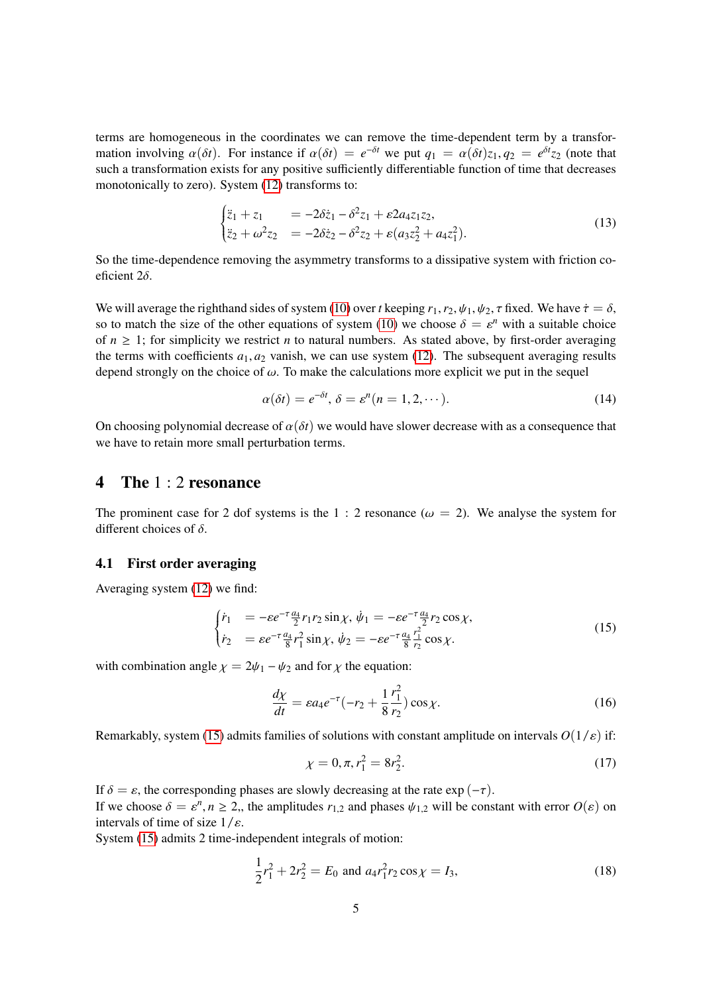terms are homogeneous in the coordinates we can remove the time-dependent term by a transformation involving  $\alpha(\delta t)$ . For instance if  $\alpha(\delta t) = e^{-\delta t}$  we put  $q_1 = \alpha(\delta t)z_1, q_2 = e^{\delta t}z_2$  (note that such a transformation exists for any positive sufficiently differentiable function of time that decreases such a transformation exists for any positive sufficiently differentiable function of time that decreases monotonically to zero). System [\(12\)](#page-3-2) transforms to:

$$
\begin{cases} \ddot{z}_1 + z_1 = -2\delta \dot{z}_1 - \delta^2 z_1 + \varepsilon 2 a_4 z_1 z_2, \\ \ddot{z}_2 + \omega^2 z_2 = -2\delta \dot{z}_2 - \delta^2 z_2 + \varepsilon (a_3 z_2^2 + a_4 z_1^2). \end{cases} \tag{13}
$$

So the time-dependence removing the asymmetry transforms to a dissipative system with friction coeficient 2δ.

We will average the righthand sides of system [\(10\)](#page-3-0) over *t* keeping  $r_1$ ,  $r_2$ ,  $\psi_1$ ,  $\psi_2$ ,  $\tau$  fixed. We have  $\dot{\tau} = \delta$ , so to match the size of the other equations of system [\(10\)](#page-3-0) we choose  $\delta = \varepsilon^n$  with a suitable choice<br>of  $n > 1$ ; for simplicity we restrict *n* to natural numbers. As stated above, by first order averaging of  $n \geq 1$ ; for simplicity we restrict *n* to natural numbers. As stated above, by first-order averaging the terms with coefficients  $a_1, a_2$  vanish, we can use system [\(12\)](#page-3-2). The subsequent averaging results depend strongly on the choice of  $\omega$ . To make the calculations more explicit we put in the sequel

<span id="page-4-3"></span>
$$
\alpha(\delta t) = e^{-\delta t}, \, \delta = \varepsilon^n (n = 1, 2, \cdots). \tag{14}
$$

On choosing polynomial decrease of  $\alpha(\delta t)$  we would have slower decrease with as a consequence that we have to retain more small perturbation terms.

### 4 The 1 : 2 resonance

The prominent case for 2 dof systems is the 1 : 2 resonance ( $\omega = 2$ ). We analyse the system for different choices of  $\delta$ .

### 4.1 First order averaging

Averaging system [\(12\)](#page-3-2) we find:

<span id="page-4-0"></span>
$$
\begin{cases}\n\dot{r}_1 &= -\varepsilon e^{-\tau} \frac{a_4}{2} r_1 r_2 \sin \chi, \ \dot{\psi}_1 = -\varepsilon e^{-\tau} \frac{a_4}{2} r_2 \cos \chi, \\
\dot{r}_2 &= \varepsilon e^{-\tau} \frac{a_4}{8} r_1^2 \sin \chi, \ \dot{\psi}_2 = -\varepsilon e^{-\tau} \frac{a_4}{8} \frac{r_1^2}{r_2} \cos \chi.\n\end{cases} \tag{15}
$$

with combination angle  $\chi = 2\psi_1 - \psi_2$  and for  $\chi$  the equation:

$$
\frac{d\chi}{dt} = \varepsilon a_4 e^{-\tau} (-r_2 + \frac{1}{8} \frac{r_1^2}{r_2}) \cos \chi.
$$
 (16)

Remarkably, system [\(15\)](#page-4-0) admits families of solutions with constant amplitude on intervals  $O(1/\varepsilon)$  if:

<span id="page-4-2"></span>
$$
\chi = 0, \pi, r_1^2 = 8r_2^2. \tag{17}
$$

If  $\delta = \varepsilon$ , the corresponding phases are slowly decreasing at the rate exp (- $\tau$ ). If we choose  $\delta = \varepsilon^n$ ,  $n \ge 2$ ,, the amplitudes  $r_{1,2}$  and phases  $\psi_{1,2}$  will be constant with error  $O(\varepsilon)$  on intervals of time of size  $1/\varepsilon$ intervals of time of size  $1/\varepsilon$ .

System [\(15\)](#page-4-0) admits 2 time-independent integrals of motion:

<span id="page-4-1"></span>
$$
\frac{1}{2}r_1^2 + 2r_2^2 = E_0 \text{ and } a_4r_1^2r_2\cos\chi = I_3,
$$
\n(18)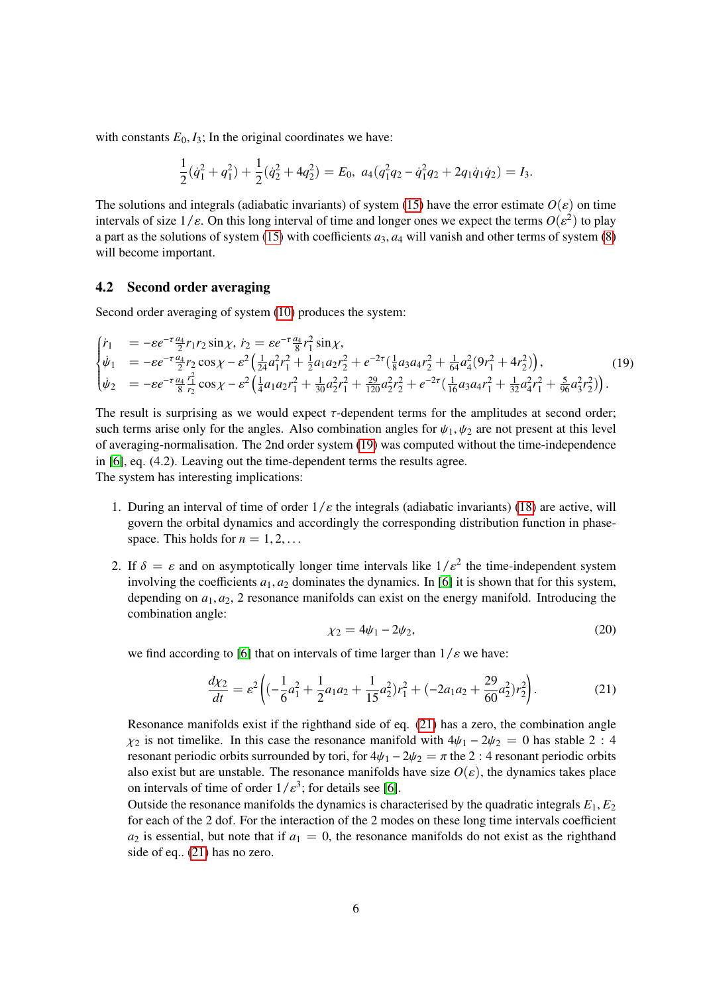with constants  $E_0$ ,  $I_3$ ; In the original coordinates we have:

$$
\frac{1}{2}(\dot{q}_1^2+q_1^2)+\frac{1}{2}(\dot{q}_2^2+4q_2^2)=E_0, a_4(q_1^2q_2-\dot{q}_1^2q_2+2q_1\dot{q}_1\dot{q}_2)=I_3.
$$

The solutions and integrals (adiabatic invariants) of system [\(15\)](#page-4-0) have the error estimate  $O(\varepsilon)$  on time intervals of size  $1/\varepsilon$ . On this long interval of time and longer ones we expect the terms  $O(\varepsilon^2)$  to play<br>a part as the solutions of system (15) with coefficients *a*<sub>2</sub>, *a*<sub>4</sub> will vanish and other terms of system a part as the solutions of system [\(15\)](#page-4-0) with coefficients  $a_3$ ,  $a_4$  will vanish and other terms of system [\(8\)](#page-3-1) will become important.

#### 4.2 Second order averaging

Second order averaging of system [\(10\)](#page-3-0) produces the system:

<span id="page-5-0"></span>
$$
\begin{cases}\n\dot{r}_1 &= -\varepsilon e^{-\tau} \frac{a_4}{2} r_1 r_2 \sin \chi, \quad \dot{r}_2 = \varepsilon e^{-\tau} \frac{a_4}{8} r_1^2 \sin \chi, \\
\dot{\psi}_1 &= -\varepsilon e^{-\tau} \frac{a_4}{2} r_2 \cos \chi - \varepsilon^2 \left( \frac{1}{24} a_1^2 r_1^2 + \frac{1}{2} a_1 a_2 r_2^2 + e^{-2\tau} \left( \frac{1}{8} a_3 a_4 r_2^2 + \frac{1}{64} a_4^2 (9 r_1^2 + 4 r_2^2) \right) \right), \\
\dot{\psi}_2 &= -\varepsilon e^{-\tau} \frac{a_4}{8} \frac{r_1^2}{r_2} \cos \chi - \varepsilon^2 \left( \frac{1}{4} a_1 a_2 r_1^2 + \frac{1}{30} a_2^2 r_1^2 + \frac{29}{120} a_2^2 r_2^2 + e^{-2\tau} \left( \frac{1}{16} a_3 a_4 r_1^2 + \frac{1}{32} a_4^2 r_1^2 + \frac{5}{96} a_3^2 r_2^2 \right) \right).\n\end{cases} (19)
$$

The result is surprising as we would expect  $\tau$ -dependent terms for the amplitudes at second order; such terms arise only for the angles. Also combination angles for  $\psi_1, \psi_2$  are not present at this level of averaging-normalisation. The 2nd order system [\(19\)](#page-5-0) was computed without the time-independence in [\[6\]](#page-11-8), eq. (4.2). Leaving out the time-dependent terms the results agree. The system has interesting implications:

- 1. During an interval of time of order  $1/\varepsilon$  the integrals (adiabatic invariants) [\(18\)](#page-4-1) are active, will govern the orbital dynamics and accordingly the corresponding distribution function in phasespace. This holds for  $n = 1, 2, \ldots$
- 2. If  $\delta = \varepsilon$  and on asymptotically longer time intervals like  $1/\varepsilon^2$  the time-independent system involving the coefficients  $a_1$  as dominates the dynamics. In [6] it is shown that for this system involving the coefficients  $a_1, a_2$  dominates the dynamics. In [\[6\]](#page-11-8) it is shown that for this system, depending on  $a_1, a_2, 2$  resonance manifolds can exist on the energy manifold. Introducing the combination angle:

$$
\chi_2 = 4\psi_1 - 2\psi_2,\tag{20}
$$

we find according to [\[6\]](#page-11-8) that on intervals of time larger than  $1/\varepsilon$  we have:

<span id="page-5-1"></span>
$$
\frac{d\chi_2}{dt} = \varepsilon^2 \left( \left( -\frac{1}{6} a_1^2 + \frac{1}{2} a_1 a_2 + \frac{1}{15} a_2^2 \right) r_1^2 + \left( -2a_1 a_2 + \frac{29}{60} a_2^2 \right) r_2^2 \right). \tag{21}
$$

Resonance manifolds exist if the righthand side of eq. [\(21\)](#page-5-1) has a zero, the combination angle  $\chi_2$  is not timelike. In this case the resonance manifold with  $4\psi_1 - 2\psi_2 = 0$  has stable 2 : 4 resonant periodic orbits surrounded by tori, for  $4\psi_1 - 2\psi_2 = \pi$  the 2 : 4 resonant periodic orbits also exist but are unstable. The resonance manifolds have size  $O(\varepsilon)$ , the dynamics takes place on intervals of time of order  $1/\varepsilon^3$ ; for details see [\[6\]](#page-11-8).<br>Outside the resonance manifolds the dynamics is chara

Outside the resonance manifolds the dynamics is characterised by the quadratic integrals *E*1, *E*<sup>2</sup> for each of the 2 dof. For the interaction of the 2 modes on these long time intervals coefficient  $a_2$  is essential, but note that if  $a_1 = 0$ , the resonance manifolds do not exist as the righthand side of eq.. [\(21\)](#page-5-1) has no zero.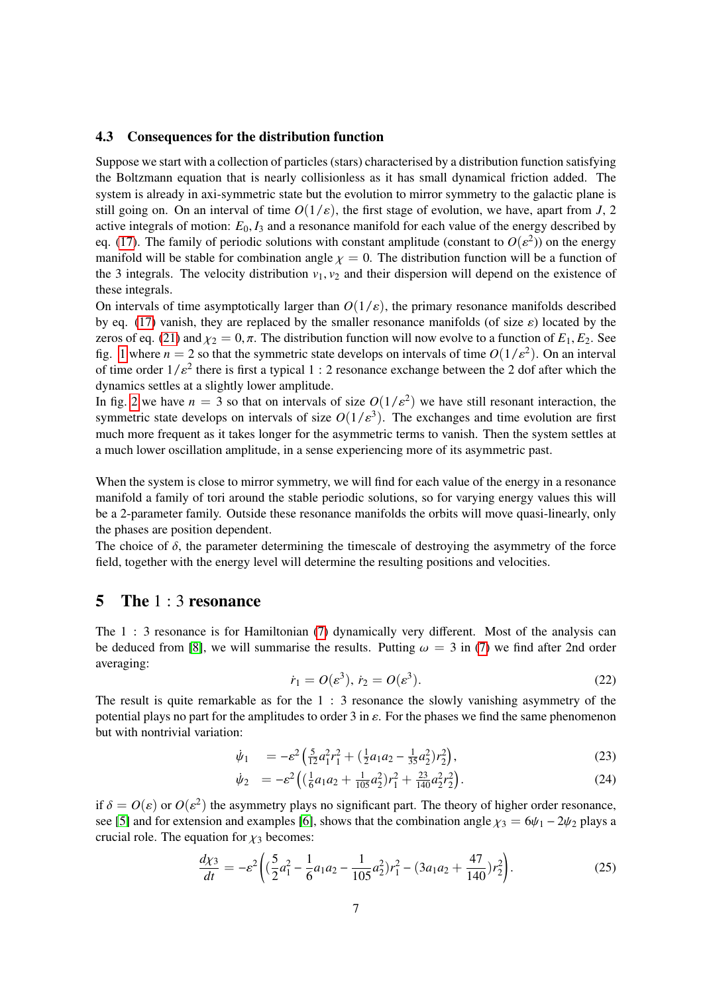### 4.3 Consequences for the distribution function

Suppose we start with a collection of particles (stars) characterised by a distribution function satisfying the Boltzmann equation that is nearly collisionless as it has small dynamical friction added. The system is already in axi-symmetric state but the evolution to mirror symmetry to the galactic plane is still going on. On an interval of time  $O(1/\varepsilon)$ , the first stage of evolution, we have, apart from *J*, 2 active integrals of motion:  $E_0$ ,  $I_3$  and a resonance manifold for each value of the energy described by eq. [\(17\)](#page-4-2). The family of periodic solutions with constant amplitude (constant to  $O(\varepsilon^2)$ ) on the energy manifold will be a function of manifold will be stable for combination angle  $\chi = 0$ . The distribution function will be a function of the 3 integrals. The velocity distribution  $v_1$ ,  $v_2$  and their dispersion will depend on the existence of these integrals.

On intervals of time asymptotically larger than  $O(1/\varepsilon)$ , the primary resonance manifolds described by eq. [\(17\)](#page-4-2) vanish, they are replaced by the smaller resonance manifolds (of size  $\varepsilon$ ) located by the zeros of eq. [\(21\)](#page-5-1) and  $\chi_2 = 0, \pi$ . The distribution function will now evolve to a function of  $E_1, E_2$ . See fig. [1](#page-7-0) where  $n = 2$  so that the symmetric state develops on intervals of time  $O(1/\varepsilon^2)$ . On an interval<br>of time order  $1/\varepsilon^2$  there is first a typical  $1/2$  resonance exchange between the 2 dof after which the of time order  $1/\varepsilon^2$  there is first a typical 1 : 2 resonance exchange between the 2 dof after which the dynamics settles at a slightly lower applitude. dynamics settles at a slightly lower amplitude.

In fig. [2](#page-8-0) we have  $n = 3$  so that on intervals of size  $O(1/\epsilon^2)$  we have still resonant interaction, the symmetric state develops on intervals of size  $O(1/\epsilon^3)$ . The exchanges and time evolution are first symmetric state develops on intervals of size  $O(1/\varepsilon^3)$ . The exchanges and time evolution are first<br>much more frequent as it takes longer for the asymmetric terms to vanish. Then the system settles at much more frequent as it takes longer for the asymmetric terms to vanish. Then the system settles at a much lower oscillation amplitude, in a sense experiencing more of its asymmetric past.

When the system is close to mirror symmetry, we will find for each value of the energy in a resonance manifold a family of tori around the stable periodic solutions, so for varying energy values this will be a 2-parameter family. Outside these resonance manifolds the orbits will move quasi-linearly, only the phases are position dependent.

The choice of  $\delta$ , the parameter determining the timescale of destroying the asymmetry of the force field, together with the energy level will determine the resulting positions and velocities.

## 5 The 1 : 3 resonance

The 1 : 3 resonance is for Hamiltonian [\(7\)](#page-2-0) dynamically very different. Most of the analysis can be deduced from [\[8\]](#page-11-4), we will summarise the results. Putting  $\omega = 3$  in [\(7\)](#page-2-0) we find after 2nd order averaging:

$$
\dot{r}_1 = O(\varepsilon^3), \, \dot{r}_2 = O(\varepsilon^3). \tag{22}
$$

The result is quite remarkable as for the 1 : 3 resonance the slowly vanishing asymmetry of the potential plays no part for the amplitudes to order 3 in  $\varepsilon$ . For the phases we find the same phenomenon but with nontrivial variation:

$$
\dot{\psi}_1 = -\varepsilon^2 \left( \frac{5}{12} a_1^2 r_1^2 + \left( \frac{1}{2} a_1 a_2 - \frac{1}{35} a_2^2 \right) r_2^2 \right),\tag{23}
$$

$$
\dot{\psi}_2 = -\varepsilon^2 \left( \left( \frac{1}{6} a_1 a_2 + \frac{1}{105} a_2^2 \right) r_1^2 + \frac{23}{140} a_2^2 r_2^2 \right). \tag{24}
$$

if  $\delta = O(\varepsilon)$  or  $O(\varepsilon^2)$  the asymmetry plays no significant part. The theory of higher order resonance, see [\[5\]](#page-11-6) and for extension and examples [\[6\]](#page-11-8), shows that the combination angle  $\chi_3 = 6\psi_1 - 2\psi_2$  plays a crucial role. The equation for  $\chi_3$  becomes:

<span id="page-6-0"></span>
$$
\frac{d\chi_3}{dt} = -\varepsilon^2 \left( (\frac{5}{2}a_1^2 - \frac{1}{6}a_1a_2 - \frac{1}{105}a_2^2)r_1^2 - (3a_1a_2 + \frac{47}{140})r_2^2 \right).
$$
 (25)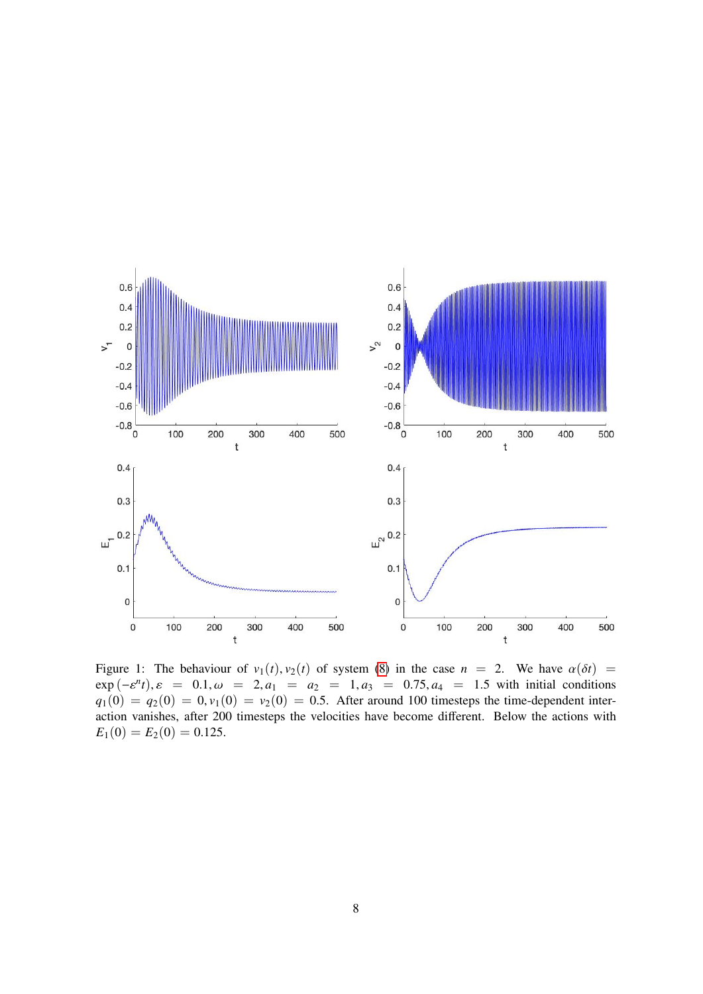

<span id="page-7-0"></span>Figure 1: The behaviour of  $v_1(t)$ ,  $v_2(t)$  of system [\(8\)](#page-3-1) in the case  $n = 2$ . We have  $\alpha(\delta t)$  $\exp(-\varepsilon^n t), \varepsilon = 0.1, \omega = 2, a_1 = a_2 = 1, a_3 = 0.75, a_4 = 1.5$  with initial conditions  $a_1(0) = a_2(0) = 0, \varepsilon(0) = v_2(0) = 0.5$  After around 100 timesteps the time-dependent inter $q_1(0) = q_2(0) = 0, v_1(0) = v_2(0) = 0.5$ . After around 100 timesteps the time-dependent interaction vanishes, after 200 timesteps the velocities have become different. Below the actions with  $E_1(0) = E_2(0) = 0.125.$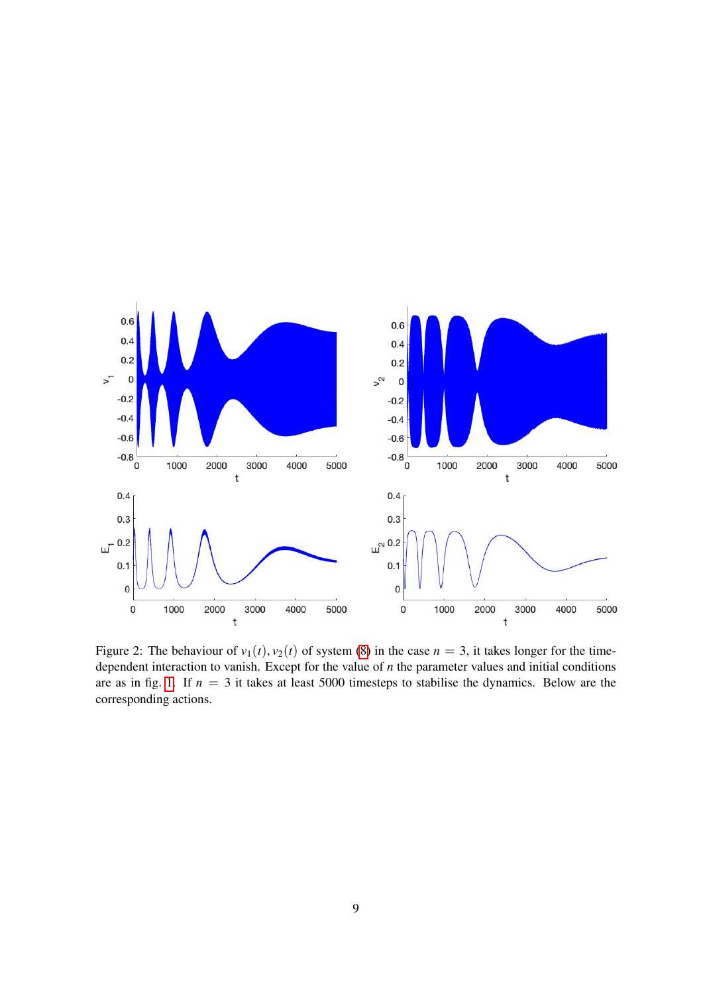

<span id="page-8-0"></span>Figure 2: The behaviour of  $v_1(t)$ ,  $v_2(t)$  of system [\(8\)](#page-3-1) in the case  $n = 3$ , it takes longer for the timedependent interaction to vanish. Except for the value of *n* the parameter values and initial conditions are as in fig. [1.](#page-7-0) If  $n = 3$  it takes at least 5000 timesteps to stabilise the dynamics. Below are the corresponding actions.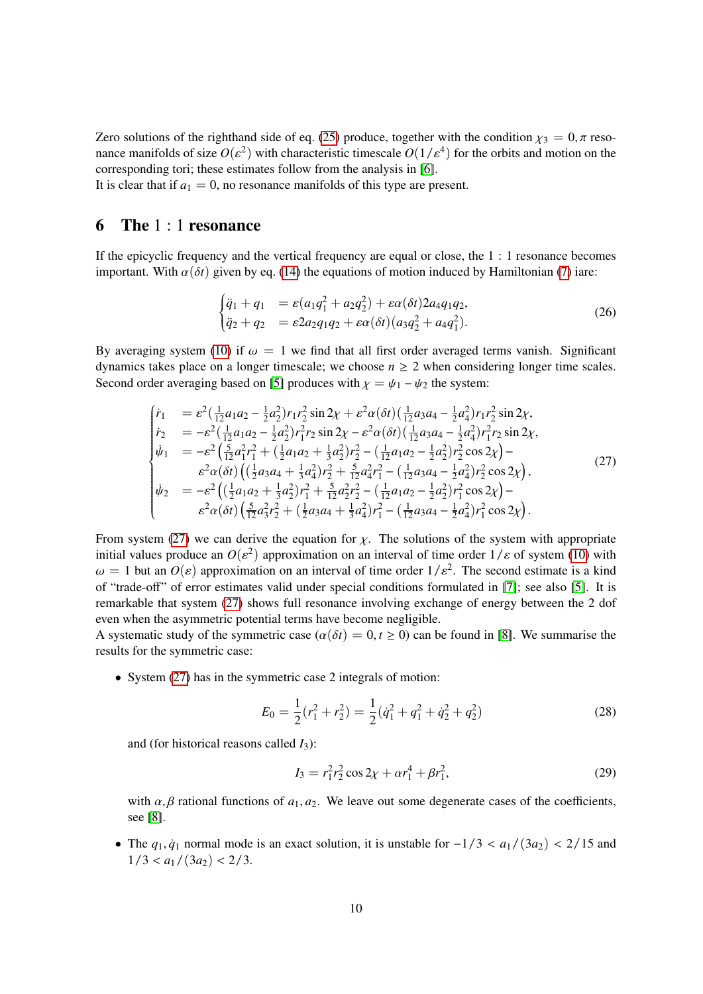Zero solutions of the righthand side of eq. [\(25\)](#page-6-0) produce, together with the condition  $\chi_3 = 0$ ,  $\pi$  resonance manifolds of size  $O(\varepsilon^2)$  with characteristic timescale  $O(1/\varepsilon^4)$  for the orbits and motion on the corresponding tori: these estimates follow from the analysis in [6] corresponding tori; these estimates follow from the analysis in [\[6\]](#page-11-8).

It is clear that if  $a_1 = 0$ , no resonance manifolds of this type are present.

### 6 The 1 : 1 resonance

If the epicyclic frequency and the vertical frequency are equal or close, the 1 : 1 resonance becomes important. With  $\alpha(\delta t)$  given by eq. [\(14\)](#page-4-3) the equations of motion induced by Hamiltonian [\(7\)](#page-2-0) iare:

<span id="page-9-1"></span>
$$
\begin{cases} \ddot{q}_1 + q_1 &= \varepsilon (a_1 q_1^2 + a_2 q_2^2) + \varepsilon \alpha (\delta t) 2 a_4 q_1 q_2, \\ \ddot{q}_2 + q_2 &= \varepsilon 2 a_2 q_1 q_2 + \varepsilon \alpha (\delta t) (a_3 q_2^2 + a_4 q_1^2). \end{cases} \tag{26}
$$

By averaging system [\(10\)](#page-3-0) if  $\omega = 1$  we find that all first order averaged terms vanish. Significant dynamics takes place on a longer timescale; we choose  $n \geq 2$  when considering longer time scales. Second order averaging based on [\[5\]](#page-11-6) produces with  $\chi = \psi_1 - \psi_2$  the system:

<span id="page-9-0"></span>
$$
\begin{cases}\n\dot{r}_{1} &= \varepsilon^{2} \left( \frac{1}{12} a_{1} a_{2} - \frac{1}{2} a_{2}^{2} \right) r_{1} r_{2}^{2} \sin 2\chi + \varepsilon^{2} \alpha (\delta t) \left( \frac{1}{12} a_{3} a_{4} - \frac{1}{2} a_{4}^{2} \right) r_{1} r_{2}^{2} \sin 2\chi, \\
\dot{r}_{2} &= -\varepsilon^{2} \left( \frac{1}{12} a_{1} a_{2} - \frac{1}{2} a_{2}^{2} \right) r_{1}^{2} r_{2} \sin 2\chi - \varepsilon^{2} \alpha (\delta t) \left( \frac{1}{12} a_{3} a_{4} - \frac{1}{2} a_{4}^{2} \right) r_{1}^{2} r_{2} \sin 2\chi, \\
\dot{\psi}_{1} &= -\varepsilon^{2} \left( \frac{5}{12} a_{1}^{2} r_{1}^{2} + \left( \frac{1}{2} a_{1} a_{2} + \frac{1}{3} a_{2}^{2} \right) r_{2}^{2} - \left( \frac{1}{12} a_{1} a_{2} - \frac{1}{2} a_{2}^{2} \right) r_{2}^{2} \cos 2\chi \right) - \\
\varepsilon^{2} \alpha (\delta t) \left( \left( \frac{1}{2} a_{3} a_{4} + \frac{1}{3} a_{4}^{2} \right) r_{2}^{2} + \frac{5}{12} a_{4}^{2} r_{1}^{2} - \left( \frac{1}{12} a_{3} a_{4} - \frac{1}{2} a_{4}^{2} \right) r_{2}^{2} \cos 2\chi \right), \\
\dot{\psi}_{2} &= -\varepsilon^{2} \left( \left( \frac{1}{2} a_{1} a_{2} + \frac{1}{3} a_{2}^{2} \right) r_{1}^{2} + \frac{5}{12} a_{2}^{2} r_{2}^{2} - \left( \frac{1}{12} a_{1} a_{2} - \frac{1}{2} a_{2}^{2} \right) r_{1}^{2} \cos 2\chi \right) - \\
\varepsilon^{2} \alpha (\delta t) \left( \frac{5}{12} a_{3}^{2} r_{2}^{2} + \left( \frac{1}{2} a_{3} a_{4} +
$$

From system [\(27\)](#page-9-0) we can derive the equation for  $\chi$ . The solutions of the system with appropriate initial values produce an  $O(\varepsilon^2)$  approximation on an interval of time order  $1/\varepsilon$  of system [\(10\)](#page-3-0) with  $\omega = 1$  but an  $O(\varepsilon)$  approximation on an interval of time order  $1/\varepsilon^2$ . The second estimate is a kind  $\omega = 1$  but an  $O(\varepsilon)$  approximation on an interval of time order  $1/\varepsilon^2$ . The second estimate is a kind<br>of "trade off" of error estimates valid under special conditions formulated in [7]; see also [5]. It is of "trade-off" of error estimates valid under special conditions formulated in [\[7\]](#page-11-9); see also [\[5\]](#page-11-6). It is remarkable that system [\(27\)](#page-9-0) shows full resonance involving exchange of energy between the 2 dof even when the asymmetric potential terms have become negligible.

A systematic study of the symmetric case ( $\alpha(\delta t) = 0, t \ge 0$ ) can be found in [\[8\]](#page-11-4). We summarise the results for the symmetric case:

• System [\(27\)](#page-9-0) has in the symmetric case 2 integrals of motion:

<span id="page-9-2"></span>
$$
E_0 = \frac{1}{2}(r_1^2 + r_2^2) = \frac{1}{2}(\dot{q}_1^2 + q_1^2 + \dot{q}_2^2 + q_2^2)
$$
 (28)

and (for historical reasons called *I*3):

<span id="page-9-3"></span>
$$
I_3 = r_1^2 r_2^2 \cos 2\chi + \alpha r_1^4 + \beta r_1^2,
$$
 (29)

with  $\alpha$ ,  $\beta$  rational functions of  $a_1$ ,  $a_2$ . We leave out some degenerate cases of the coefficients, see [\[8\]](#page-11-4).

• The  $q_1, \dot{q}_1$  normal mode is an exact solution, it is unstable for  $-1/3 < a_1/(3a_2) < 2/15$  and  $1/3 < a_1/(3a_2) < 2/3$ .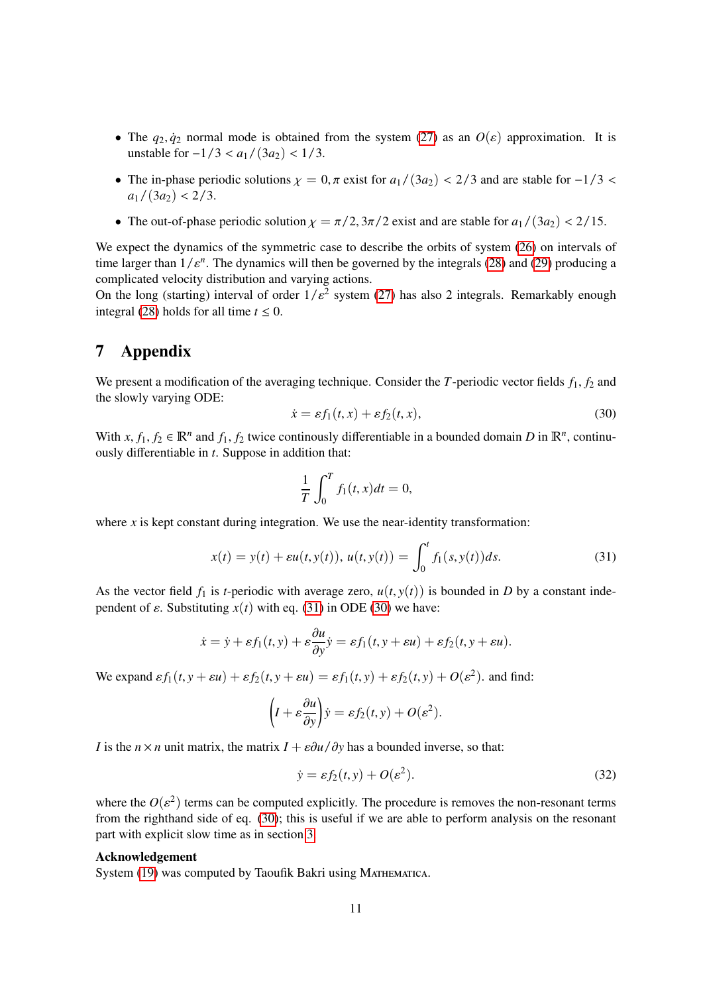- The  $q_2, \dot{q}_2$  normal mode is obtained from the system [\(27\)](#page-9-0) as an  $O(\varepsilon)$  approximation. It is unstable for  $-1/3 < a_1/(3a_2) < 1/3$ .
- The in-phase periodic solutions  $\chi = 0$ ,  $\pi$  exist for  $a_1/(3a_2) < 2/3$  and are stable for  $-1/3 <$  $a_1/(3a_2) < 2/3.$
- The out-of-phase periodic solution  $\chi = \pi/2$ ,  $3\pi/2$  exist and are stable for  $a_1/(3a_2) < 2/15$ .

We expect the dynamics of the symmetric case to describe the orbits of system [\(26\)](#page-9-1) on intervals of time larger than  $1/\varepsilon^n$ . The dynamics will then be governed by the integrals [\(28\)](#page-9-2) and [\(29\)](#page-9-3) producing a<br>complicated velocity distribution and varying actions complicated velocity distribution and varying actions.

On the long (starting) interval of order  $1/\varepsilon^2$  system [\(27\)](#page-9-0) has also 2 integrals. Remarkably enough integral (28) holds for all time  $t < 0$ integral [\(28\)](#page-9-2) holds for all time  $t \le 0$ .

## <span id="page-10-1"></span>7 Appendix

We present a modification of the averaging technique. Consider the  $T$ -periodic vector fields  $f_1, f_2$  and the slowly varying ODE:

<span id="page-10-2"></span>
$$
\dot{x} = \varepsilon f_1(t, x) + \varepsilon f_2(t, x), \tag{30}
$$

With  $x, f_1, f_2 \in \mathbb{R}^n$  and  $f_1, f_2$  twice continously differentiable in a bounded domain *D* in  $\mathbb{R}^n$ , continuously differentiable in *t*. Suppose in addition that:

$$
\frac{1}{T} \int_0^T f_1(t, x) dt = 0,
$$

where *x* is kept constant during integration. We use the near-identity transformation:

<span id="page-10-0"></span>
$$
x(t) = y(t) + \varepsilon u(t, y(t)), \, u(t, y(t)) = \int_0^t f_1(s, y(t)) ds. \tag{31}
$$

As the vector field  $f_1$  is *t*-periodic with average zero,  $u(t, y(t))$  is bounded in *D* by a constant independent of  $\varepsilon$ . Substituting  $x(t)$  with eq. [\(31\)](#page-10-0) in ODE [\(30\)](#page-10-2) we have:

$$
\dot{x} = \dot{y} + \varepsilon f_1(t, y) + \varepsilon \frac{\partial u}{\partial y} \dot{y} = \varepsilon f_1(t, y + \varepsilon u) + \varepsilon f_2(t, y + \varepsilon u).
$$

We expand  $\varepsilon f_1(t, y + \varepsilon u) + \varepsilon f_2(t, y + \varepsilon u) = \varepsilon f_1(t, y) + \varepsilon f_2(t, y) + O(\varepsilon^2)$ . and find:

$$
\left(I + \varepsilon \frac{\partial u}{\partial y}\right)\dot{y} = \varepsilon f_2(t, y) + O(\varepsilon^2).
$$

*I* is the *n* × *n* unit matrix, the matrix  $I + \varepsilon \partial u / \partial y$  has a bounded inverse, so that:

$$
\dot{y} = \varepsilon f_2(t, y) + O(\varepsilon^2). \tag{32}
$$

where the  $O(\varepsilon^2)$  terms can be computed explicitly. The procedure is removes the non-resonant terms<br>from the righthand side of eq. (30); this is useful if we are able to perform analysis on the resonant from the righthand side of eq. [\(30\)](#page-10-2); this is useful if we are able to perform analysis on the resonant part with explicit slow time as in section [3.](#page-3-3)

#### Acknowledgement

System [\(19\)](#page-5-0) was computed by Taoufik Bakri using MATHEMATICA.